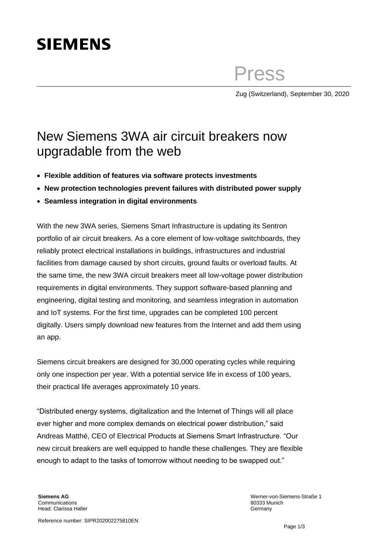# **SIEMENS**

Press

Zug (Switzerland), September 30, 2020

## New Siemens 3WA air circuit breakers now upgradable from the web

- **Flexible addition of features via software protects investments**
- **New protection technologies prevent failures with distributed power supply**
- **Seamless integration in digital environments**

With the new 3WA series, Siemens Smart Infrastructure is updating its Sentron portfolio of air circuit breakers. As a core element of low-voltage switchboards, they reliably protect electrical installations in buildings, infrastructures and industrial facilities from damage caused by short circuits, ground faults or overload faults. At the same time, the new 3WA circuit breakers meet all low-voltage power distribution requirements in digital environments. They support software-based planning and engineering, digital testing and monitoring, and seamless integration in automation and IoT systems. For the first time, upgrades can be completed 100 percent digitally. Users simply download new features from the Internet and add them using an app.

Siemens circuit breakers are designed for 30,000 operating cycles while requiring only one inspection per year. With a potential service life in excess of 100 years, their practical life averages approximately 10 years.

"Distributed energy systems, digitalization and the Internet of Things will all place ever higher and more complex demands on electrical power distribution," said Andreas Matthé, CEO of Electrical Products at Siemens Smart Infrastructure. "Our new circuit breakers are well equipped to handle these challenges. They are flexible enough to adapt to the tasks of tomorrow without needing to be swapped out."

Werner-von-Siemens-Straße 1 80333 Munich Germany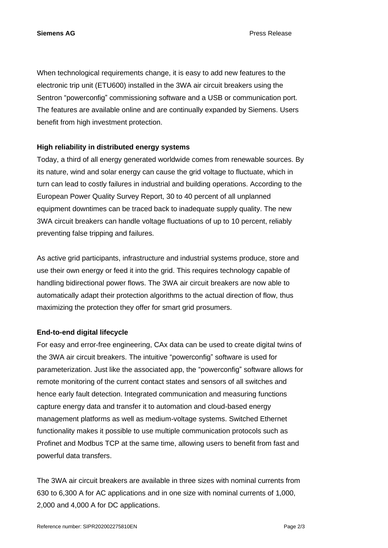**Siemens AG** Press Release

When technological requirements change, it is easy to add new features to the electronic trip unit (ETU600) installed in the 3WA air circuit breakers using the Sentron "powerconfig" commissioning software and a USB or communication port. The features are available online and are continually expanded by Siemens. Users benefit from high investment protection.

#### **High reliability in distributed energy systems**

Today, a third of all energy generated worldwide comes from renewable sources. By its nature, wind and solar energy can cause the grid voltage to fluctuate, which in turn can lead to costly failures in industrial and building operations. According to the European Power Quality Survey Report, 30 to 40 percent of all unplanned equipment downtimes can be traced back to inadequate supply quality. The new 3WA circuit breakers can handle voltage fluctuations of up to 10 percent, reliably preventing false tripping and failures.

As active grid participants, infrastructure and industrial systems produce, store and use their own energy or feed it into the grid. This requires technology capable of handling bidirectional power flows. The 3WA air circuit breakers are now able to automatically adapt their protection algorithms to the actual direction of flow, thus maximizing the protection they offer for smart grid prosumers.

### **End-to-end digital lifecycle**

For easy and error-free engineering, CAx data can be used to create digital twins of the 3WA air circuit breakers. The intuitive "powerconfig" software is used for parameterization. Just like the associated app, the "powerconfig" software allows for remote monitoring of the current contact states and sensors of all switches and hence early fault detection. Integrated communication and measuring functions capture energy data and transfer it to automation and cloud-based energy management platforms as well as medium-voltage systems. Switched Ethernet functionality makes it possible to use multiple communication protocols such as Profinet and Modbus TCP at the same time, allowing users to benefit from fast and powerful data transfers.

The 3WA air circuit breakers are available in three sizes with nominal currents from 630 to 6,300 A for AC applications and in one size with nominal currents of 1,000, 2,000 and 4,000 A for DC applications.